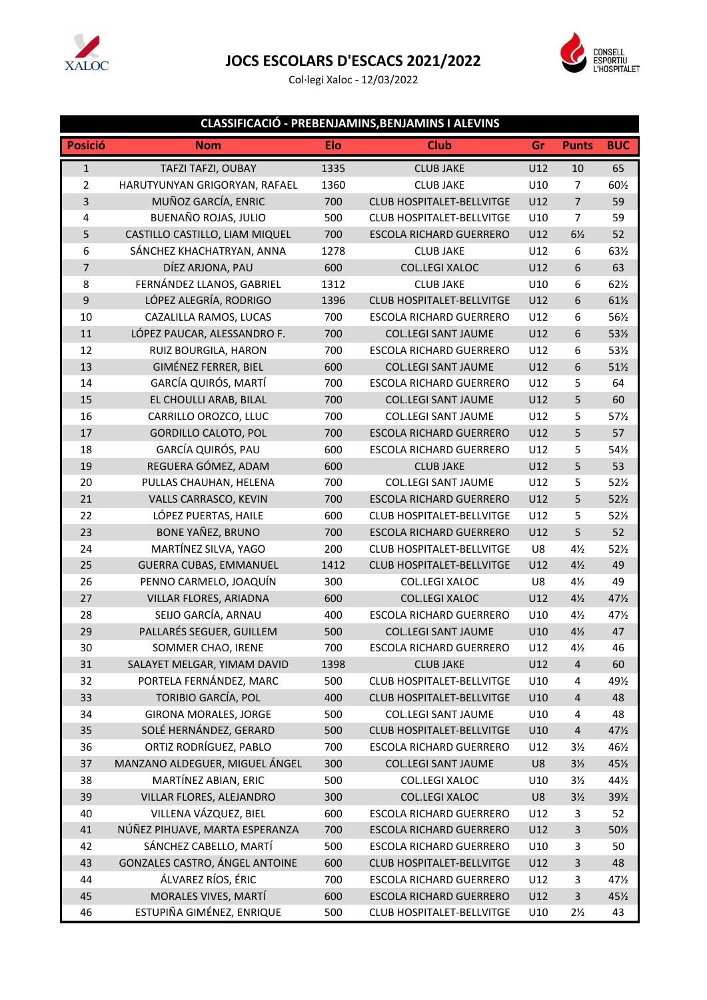

## **JOCS ESCOLARS D'ESCACS 2021/2022**

Col·legi Xaloc - 12/03/2022



## **CLASSIFICACIÓ - PREBENJAMINS,BENJAMINS I ALEVINS**

| <b>Posició</b> | Nom                            | <b>Elo</b> | <b>Club</b>                      | Gr  | <b>Punts</b>            | <b>BUC</b>      |
|----------------|--------------------------------|------------|----------------------------------|-----|-------------------------|-----------------|
| $\mathbf 1$    | TAFZI TAFZI, OUBAY             | 1335       | <b>CLUB JAKE</b>                 | U12 | 10                      | 65              |
| $\overline{2}$ | HARUTYUNYAN GRIGORYAN, RAFAEL  | 1360       | <b>CLUB JAKE</b>                 | U10 | $\overline{7}$          | 601/2           |
| 3              | MUÑOZ GARCÍA, ENRIC            | 700        | <b>CLUB HOSPITALET-BELLVITGE</b> | U12 | $\overline{7}$          | 59              |
| 4              | BUENAÑO ROJAS, JULIO           | 500        | <b>CLUB HOSPITALET-BELLVITGE</b> | U10 | $\overline{7}$          | 59              |
| 5              | CASTILLO CASTILLO, LIAM MIQUEL | 700        | <b>ESCOLA RICHARD GUERRERO</b>   | U12 | $6\frac{1}{2}$          | 52              |
| 6              | SÁNCHEZ KHACHATRYAN, ANNA      | 1278       | <b>CLUB JAKE</b>                 | U12 | 6                       | 631/2           |
| $\overline{7}$ | DÍEZ ARJONA, PAU               | 600        | COL.LEGI XALOC                   | U12 | 6                       | 63              |
| 8              | FERNÁNDEZ LLANOS, GABRIEL      | 1312       | <b>CLUB JAKE</b>                 | U10 | 6                       | 621/2           |
| 9              | LÓPEZ ALEGRÍA, RODRIGO         | 1396       | <b>CLUB HOSPITALET-BELLVITGE</b> | U12 | 6                       | $61\frac{1}{2}$ |
| 10             | CAZALILLA RAMOS, LUCAS         | 700        | <b>ESCOLA RICHARD GUERRERO</b>   | U12 | 6                       | 56½             |
| $11\,$         | LÓPEZ PAUCAR, ALESSANDRO F.    | 700        | <b>COL.LEGI SANT JAUME</b>       | U12 | 6                       | 53½             |
| 12             | RUIZ BOURGILA, HARON           | 700        | <b>ESCOLA RICHARD GUERRERO</b>   | U12 | 6                       | 53½             |
| 13             | <b>GIMÉNEZ FERRER, BIEL</b>    | 600        | <b>COL.LEGI SANT JAUME</b>       | U12 | 6                       | 51½             |
| 14             | GARCÍA QUIRÓS, MARTÍ           | 700        | <b>ESCOLA RICHARD GUERRERO</b>   | U12 | 5                       | 64              |
| 15             | EL CHOULLI ARAB, BILAL         | 700        | <b>COL.LEGI SANT JAUME</b>       | U12 | 5                       | 60              |
| 16             | CARRILLO OROZCO, LLUC          | 700        | <b>COL.LEGI SANT JAUME</b>       | U12 | 5                       | 57%             |
| 17             | <b>GORDILLO CALOTO, POL</b>    | 700        | ESCOLA RICHARD GUERRERO          | U12 | 5                       | 57              |
| 18             | GARCÍA QUIRÓS, PAU             | 600        | <b>ESCOLA RICHARD GUERRERO</b>   | U12 | 5                       | 54½             |
| 19             | REGUERA GÓMEZ, ADAM            | 600        | <b>CLUB JAKE</b>                 | U12 | 5                       | 53              |
| 20             | PULLAS CHAUHAN, HELENA         | 700        | <b>COL.LEGI SANT JAUME</b>       | U12 | 5                       | 52%             |
| 21             | VALLS CARRASCO, KEVIN          | 700        | <b>ESCOLA RICHARD GUERRERO</b>   | U12 | 5                       | 521/2           |
| 22             | LÓPEZ PUERTAS, HAILE           | 600        | <b>CLUB HOSPITALET-BELLVITGE</b> | U12 | 5                       | 52%             |
| 23             | <b>BONE YAÑEZ, BRUNO</b>       | 700        | <b>ESCOLA RICHARD GUERRERO</b>   | U12 | 5                       | 52              |
| 24             | MARTÍNEZ SILVA, YAGO           | 200        | <b>CLUB HOSPITALET-BELLVITGE</b> | U8  | $4\frac{1}{2}$          | 52%             |
| 25             | <b>GUERRA CUBAS, EMMANUEL</b>  | 1412       | CLUB HOSPITALET-BELLVITGE        | U12 | $4\frac{1}{2}$          | 49              |
| 26             | PENNO CARMELO, JOAQUÍN         | 300        | COL.LEGI XALOC                   | U8  | $4\frac{1}{2}$          | 49              |
| 27             | VILLAR FLORES, ARIADNA         | 600        | <b>COL.LEGI XALOC</b>            | U12 | $4\frac{1}{2}$          | 47½             |
| 28             | SEIJO GARCÍA, ARNAU            | 400        | <b>ESCOLA RICHARD GUERRERO</b>   | U10 | $4\frac{1}{2}$          | 47½             |
| 29             | PALLARÉS SEGUER, GUILLEM       | 500        | <b>COL.LEGI SANT JAUME</b>       | U10 | $4\frac{1}{2}$          | 47              |
| 30             | SOMMER CHAO, IRENE             | 700        | <b>ESCOLA RICHARD GUERRERO</b>   | U12 | $4\frac{1}{2}$          | 46              |
| 31             | SALAYET MELGAR, YIMAM DAVID    | 1398       | <b>CLUB JAKE</b>                 | U12 | $\overline{4}$          | 60              |
| 32             | PORTELA FERNÁNDEZ, MARC        | 500        | <b>CLUB HOSPITALET-BELLVITGE</b> | U10 | 4                       | 49½             |
| 33             | TORIBIO GARCÍA, POL            | 400        | CLUB HOSPITALET-BELLVITGE        | U10 | $\overline{\mathbf{4}}$ | 48              |
| 34             | <b>GIRONA MORALES, JORGE</b>   | 500        | <b>COL.LEGI SANT JAUME</b>       | U10 | 4                       | 48              |
| 35             | SOLÉ HERNÁNDEZ, GERARD         | 500        | <b>CLUB HOSPITALET-BELLVITGE</b> | U10 | $\overline{\mathbf{4}}$ | 47½             |
| 36             | ORTIZ RODRÍGUEZ, PABLO         | 700        | <b>ESCOLA RICHARD GUERRERO</b>   | U12 | $3\frac{1}{2}$          | 461/2           |
| 37             | MANZANO ALDEGUER, MIGUEL ÁNGEL | 300        | <b>COL.LEGI SANT JAUME</b>       | U8  | $3\frac{1}{2}$          | 45½             |
| 38             | MARTÍNEZ ABIAN, ERIC           | 500        | COL.LEGI XALOC                   | U10 | $3\frac{1}{2}$          | 44½             |
| 39             | VILLAR FLORES, ALEJANDRO       | 300        | <b>COL.LEGI XALOC</b>            | U8  | $3\frac{1}{2}$          | 39½             |
| 40             | VILLENA VÁZQUEZ, BIEL          | 600        | <b>ESCOLA RICHARD GUERRERO</b>   | U12 | 3                       | 52              |
| 41             | NÚÑEZ PIHUAVE, MARTA ESPERANZA | 700        | <b>ESCOLA RICHARD GUERRERO</b>   | U12 | 3                       | 50½             |
| 42             | SÁNCHEZ CABELLO, MARTÍ         | 500        | <b>ESCOLA RICHARD GUERRERO</b>   | U10 | 3                       | 50              |
| 43             | GONZALES CASTRO, ÁNGEL ANTOINE | 600        | CLUB HOSPITALET-BELLVITGE        | U12 | 3                       | 48              |
| 44             | ÁLVAREZ RÍOS, ÉRIC             | 700        | ESCOLA RICHARD GUERRERO          | U12 | 3                       | 471/2           |
| 45             | MORALES VIVES, MARTÍ           | 600        | ESCOLA RICHARD GUERRERO          | U12 | 3                       | 451/2           |
| 46             | ESTUPIÑA GIMÉNEZ, ENRIQUE      | 500        | CLUB HOSPITALET-BELLVITGE        | U10 | $2\frac{1}{2}$          | 43              |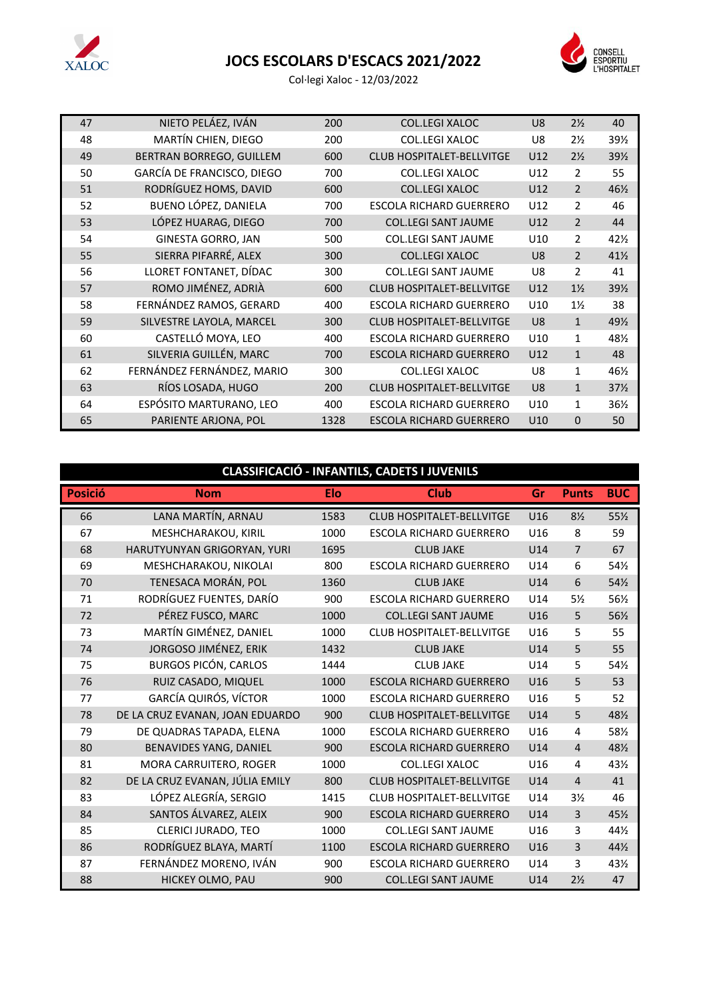

## **JOCS ESCOLARS D'ESCACS 2021/2022**



Col·legi Xaloc - 12/03/2022

| 47 | NIETO PELÁEZ, IVÁN         | 200  | <b>COL.LEGI XALOC</b>            | U <sub>8</sub> | $2\frac{1}{2}$ | 40              |
|----|----------------------------|------|----------------------------------|----------------|----------------|-----------------|
| 48 | MARTÍN CHIEN, DIEGO        | 200  | COL.LEGI XALOC                   | U8             | $2\frac{1}{2}$ | 39%             |
| 49 | BERTRAN BORREGO, GUILLEM   | 600  | <b>CLUB HOSPITALET-BELLVITGE</b> | U12            | $2\frac{1}{2}$ | 391/2           |
| 50 | GARCÍA DE FRANCISCO, DIEGO | 700  | <b>COL.LEGI XALOC</b>            | U12            | 2              | 55              |
| 51 | RODRÍGUEZ HOMS, DAVID      | 600  | <b>COL.LEGI XALOC</b>            | U12            | $\mathcal{P}$  | 46½             |
| 52 | BUENO LÓPEZ, DANIELA       | 700  | ESCOLA RICHARD GUERRERO          | U12            | 2              | 46              |
| 53 | LÓPEZ HUARAG, DIEGO        | 700  | <b>COL.LEGI SANT JAUME</b>       | U12            | $\overline{2}$ | 44              |
| 54 | <b>GINESTA GORRO, JAN</b>  | 500  | <b>COL.LEGI SANT JAUME</b>       | U10            | $\overline{2}$ | 42%             |
| 55 | SIERRA PIFARRÉ, ALEX       | 300  | <b>COL.LEGI XALOC</b>            | U <sub>8</sub> | $\overline{2}$ | $41\frac{1}{2}$ |
| 56 | LLORET FONTANET, DÍDAC     | 300  | <b>COL.LEGI SANT JAUME</b>       | U8             | $\overline{2}$ | 41              |
| 57 | ROMO JIMÉNEZ, ADRIÀ        | 600  | <b>CLUB HOSPITALET-BELLVITGE</b> | U12            | $1\frac{1}{2}$ | 39%             |
| 58 | FERNÁNDEZ RAMOS, GERARD    | 400  | <b>ESCOLA RICHARD GUERRERO</b>   | U10            | $1\frac{1}{2}$ | 38              |
| 59 | SILVESTRE LAYOLA, MARCEL   | 300  | <b>CLUB HOSPITALET-BELLVITGE</b> | U <sub>8</sub> | $\mathbf{1}$   | 491/2           |
| 60 | CASTELLÓ MOYA, LEO         | 400  | <b>ESCOLA RICHARD GUERRERO</b>   | U10            | $\mathbf{1}$   | 48½             |
| 61 | SILVERIA GUILLÉN, MARC     | 700  | <b>ESCOLA RICHARD GUERRERO</b>   | U12            | $\mathbf{1}$   | 48              |
| 62 | FERNÁNDEZ FERNÁNDEZ, MARIO | 300  | <b>COL.LEGI XALOC</b>            | U8             | $\mathbf{1}$   | 46½             |
| 63 | RÍOS LOSADA, HUGO          | 200  | <b>CLUB HOSPITALET-BELLVITGE</b> | U <sub>8</sub> | $\mathbf{1}$   | 37%             |
| 64 | ESPÓSITO MARTURANO, LEO    | 400  | <b>ESCOLA RICHARD GUERRERO</b>   | U10            | $\mathbf{1}$   | 36½             |
| 65 | PARIENTE ARJONA, POL       | 1328 | <b>ESCOLA RICHARD GUERRERO</b>   | U10            | $\Omega$       | 50              |

| CLASSIFICACIÓ - INFANTILS, CADETS I JUVENILS |                                 |            |                                  |     |                |                 |  |
|----------------------------------------------|---------------------------------|------------|----------------------------------|-----|----------------|-----------------|--|
| <b>Posició</b>                               | <b>Nom</b>                      | <b>Elo</b> | <b>Club</b>                      | Gr  | <b>Punts</b>   | <b>BUC</b>      |  |
| 66                                           | LANA MARTÍN, ARNAU              | 1583       | <b>CLUB HOSPITALET-BELLVITGE</b> | U16 | $8\frac{1}{2}$ | 55%             |  |
| 67                                           | MESHCHARAKOU, KIRIL             | 1000       | <b>ESCOLA RICHARD GUERRERO</b>   | U16 | 8              | 59              |  |
| 68                                           | HARUTYUNYAN GRIGORYAN, YURI     | 1695       | <b>CLUB JAKE</b>                 | U14 | $\overline{7}$ | 67              |  |
| 69                                           | MESHCHARAKOU, NIKOLAI           | 800        | <b>ESCOLA RICHARD GUERRERO</b>   | U14 | 6              | 54½             |  |
| 70                                           | TENESACA MORÁN, POL             | 1360       | <b>CLUB JAKE</b>                 | U14 | 6              | 54½             |  |
| 71                                           | RODRÍGUEZ FUENTES, DARÍO        | 900        | <b>ESCOLA RICHARD GUERRERO</b>   | U14 | $5\%$          | 56½             |  |
| 72                                           | PÉREZ FUSCO, MARC               | 1000       | <b>COL.LEGI SANT JAUME</b>       | U16 | 5              | 56½             |  |
| 73                                           | MARTÍN GIMÉNEZ, DANIEL          | 1000       | <b>CLUB HOSPITALET-BELLVITGE</b> | U16 | 5              | 55              |  |
| 74                                           | JORGOSO JIMÉNEZ, ERIK           | 1432       | <b>CLUB JAKE</b>                 | U14 | 5              | 55              |  |
| 75                                           | <b>BURGOS PICÓN, CARLOS</b>     | 1444       | <b>CLUB JAKE</b>                 | U14 | 5              | 54½             |  |
| 76                                           | RUIZ CASADO, MIQUEL             | 1000       | <b>ESCOLA RICHARD GUERRERO</b>   | U16 | 5              | 53              |  |
| 77                                           | <b>GARCÍA QUIRÓS, VÍCTOR</b>    | 1000       | <b>ESCOLA RICHARD GUERRERO</b>   | U16 | 5              | 52              |  |
| 78                                           | DE LA CRUZ EVANAN, JOAN EDUARDO | 900        | CLUB HOSPITALET-BELLVITGE        | U14 | 5              | 481/2           |  |
| 79                                           | DE QUADRAS TAPADA, ELENA        | 1000       | <b>ESCOLA RICHARD GUERRERO</b>   | U16 | 4              | 581/2           |  |
| 80                                           | BENAVIDES YANG, DANIEL          | 900        | <b>ESCOLA RICHARD GUERRERO</b>   | U14 | $\overline{4}$ | 481/2           |  |
| 81                                           | MORA CARRUITERO, ROGER          | 1000       | <b>COL.LEGI XALOC</b>            | U16 | 4              | 43½             |  |
| 82                                           | DE LA CRUZ EVANAN, JÚLIA EMILY  | 800        | <b>CLUB HOSPITALET-BELLVITGE</b> | U14 | $\overline{4}$ | 41              |  |
| 83                                           | LÓPEZ ALEGRÍA, SERGIO           | 1415       | <b>CLUB HOSPITALET-BELLVITGE</b> | U14 | $3\frac{1}{2}$ | 46              |  |
| 84                                           | SANTOS ÁLVAREZ, ALEIX           | 900        | <b>ESCOLA RICHARD GUERRERO</b>   | U14 | $\overline{3}$ | 451/2           |  |
| 85                                           | <b>CLERICI JURADO, TEO</b>      | 1000       | <b>COL.LEGI SANT JAUME</b>       | U16 | 3              | 44½             |  |
| 86                                           | RODRÍGUEZ BLAYA, MARTÍ          | 1100       | <b>ESCOLA RICHARD GUERRERO</b>   | U16 | $\overline{3}$ | 44%             |  |
| 87                                           | FERNÁNDEZ MORENO, IVÁN          | 900        | <b>ESCOLA RICHARD GUERRERO</b>   | U14 | 3              | $43\frac{1}{2}$ |  |
| 88                                           | HICKEY OLMO, PAU                | 900        | <b>COL.LEGI SANT JAUME</b>       | U14 | $2\frac{1}{2}$ | 47              |  |